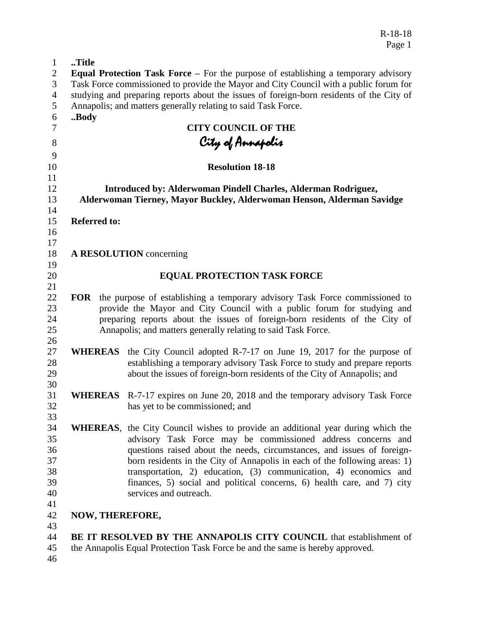R-18-18 Page 1

| $\mathbf{1}$   | Title                                                                                                                                    |                                                                                         |
|----------------|------------------------------------------------------------------------------------------------------------------------------------------|-----------------------------------------------------------------------------------------|
| $\overline{c}$ | Equal Protection Task Force - For the purpose of establishing a temporary advisory                                                       |                                                                                         |
| 3              | Task Force commissioned to provide the Mayor and City Council with a public forum for                                                    |                                                                                         |
| $\overline{4}$ | studying and preparing reports about the issues of foreign-born residents of the City of                                                 |                                                                                         |
| 5              |                                                                                                                                          | Annapolis; and matters generally relating to said Task Force.                           |
| 6              | Body                                                                                                                                     |                                                                                         |
| $\overline{7}$ |                                                                                                                                          | <b>CITY COUNCIL OF THE</b>                                                              |
| 8              |                                                                                                                                          |                                                                                         |
|                |                                                                                                                                          | City of Annapolis                                                                       |
| 9              |                                                                                                                                          |                                                                                         |
| 10<br>11       |                                                                                                                                          | <b>Resolution 18-18</b>                                                                 |
| 12             |                                                                                                                                          |                                                                                         |
| 13             | Introduced by: Alderwoman Pindell Charles, Alderman Rodriguez,<br>Alderwoman Tierney, Mayor Buckley, Alderwoman Henson, Alderman Savidge |                                                                                         |
| 14             |                                                                                                                                          |                                                                                         |
| 15             | <b>Referred to:</b>                                                                                                                      |                                                                                         |
| 16             |                                                                                                                                          |                                                                                         |
| 17             |                                                                                                                                          |                                                                                         |
| 18             |                                                                                                                                          | <b>A RESOLUTION</b> concerning                                                          |
| 19             |                                                                                                                                          |                                                                                         |
| 20             |                                                                                                                                          | <b>EQUAL PROTECTION TASK FORCE</b>                                                      |
| 21             |                                                                                                                                          |                                                                                         |
| 22             | <b>FOR</b>                                                                                                                               | the purpose of establishing a temporary advisory Task Force commissioned to             |
| 23             |                                                                                                                                          | provide the Mayor and City Council with a public forum for studying and                 |
| 24             |                                                                                                                                          | preparing reports about the issues of foreign-born residents of the City of             |
| 25             |                                                                                                                                          | Annapolis; and matters generally relating to said Task Force.                           |
| 26             |                                                                                                                                          |                                                                                         |
| 27             |                                                                                                                                          | <b>WHEREAS</b> the City Council adopted R-7-17 on June 19, 2017 for the purpose of      |
| 28             |                                                                                                                                          | establishing a temporary advisory Task Force to study and prepare reports               |
| 29             |                                                                                                                                          | about the issues of foreign-born residents of the City of Annapolis; and                |
| 30             |                                                                                                                                          |                                                                                         |
| 31             |                                                                                                                                          | <b>WHEREAS</b> R-7-17 expires on June 20, 2018 and the temporary advisory Task Force    |
| 32             |                                                                                                                                          | has yet to be commissioned; and                                                         |
| 33             |                                                                                                                                          |                                                                                         |
| 34             |                                                                                                                                          | <b>WHEREAS</b> , the City Council wishes to provide an additional year during which the |
| 35             |                                                                                                                                          | advisory Task Force may be commissioned address concerns and                            |
| 36             |                                                                                                                                          | questions raised about the needs, circumstances, and issues of foreign-                 |
| 37             |                                                                                                                                          | born residents in the City of Annapolis in each of the following areas: 1)              |
| 38             |                                                                                                                                          | transportation, 2) education, (3) communication, 4) economics and                       |
| 39             |                                                                                                                                          | finances, 5) social and political concerns, 6) health care, and 7) city                 |
| 40             |                                                                                                                                          | services and outreach.                                                                  |
| 41             |                                                                                                                                          |                                                                                         |
| 42             | <b>NOW, THEREFORE,</b>                                                                                                                   |                                                                                         |
| 43             |                                                                                                                                          |                                                                                         |
| 44             |                                                                                                                                          | BE IT RESOLVED BY THE ANNAPOLIS CITY COUNCIL that establishment of                      |
| 45             |                                                                                                                                          | the Annapolis Equal Protection Task Force be and the same is hereby approved.           |
| 46             |                                                                                                                                          |                                                                                         |